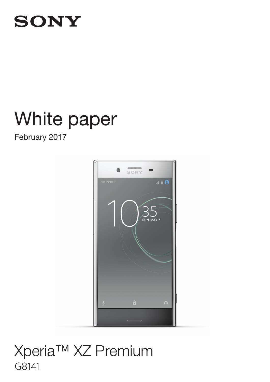## **SONY**

# White paper White paper

February 2017 February 2017



## G8141 G8141Xperia™ XZ Premium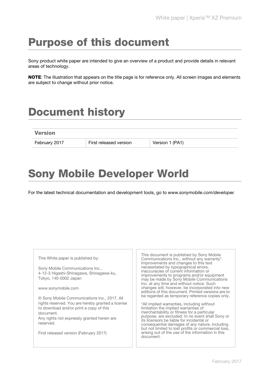## Purpose of this document

Sony product white paper are intended to give an overview of a product and provide details in relevant areas of technology.

NOTE: The illustration that appears on the title page is for reference only. All screen images and elements are subject to change without prior notice.

## Document history

| <b>Version</b> |                        |                 |
|----------------|------------------------|-----------------|
| February 2017  | First released version | Version 1 (PA1) |

## Sony Mobile Developer World

For the latest technical documentation and development tools, go to www.sonymobile.com/developer.

| This White paper is published by:<br>Sony Mobile Communications Inc.,<br>4-12-3 Higashi-Shinagawa, Shinagawa-ku,<br>Tokyo, 140-0002 Japan<br>www.sonymobile.com<br>© Sony Mobile Communications Inc., 2017. All  | This document is published by Sony Mobile<br>Communications Inc., without any warranty*.<br>Improvements and changes to this text<br>necessitated by typographical errors,<br>inaccuracies of current information or<br>improvements to programs and/or equipment<br>may be made by Sony Mobile Communications<br>Inc. at any time and without notice. Such<br>changes will, however, be incorporated into new<br>editions of this document. Printed versions are to<br>be regarded as temporary reference copies only. |
|------------------------------------------------------------------------------------------------------------------------------------------------------------------------------------------------------------------|-------------------------------------------------------------------------------------------------------------------------------------------------------------------------------------------------------------------------------------------------------------------------------------------------------------------------------------------------------------------------------------------------------------------------------------------------------------------------------------------------------------------------|
| rights reserved. You are hereby granted a license<br>to download and/or print a copy of this<br>document.<br>Any rights not expressly granted herein are.<br>reserved.<br>First released version (February 2017) | *All implied warranties, including without<br>limitation the implied warranties of<br>merchantability or fitness for a particular<br>purpose, are excluded. In no event shall Sony or<br>its licensors be liable for incidental or<br>consequential damages of any nature, including<br>but not limited to lost profits or commercial loss,<br>arising out of the use of the information in this<br>document.                                                                                                           |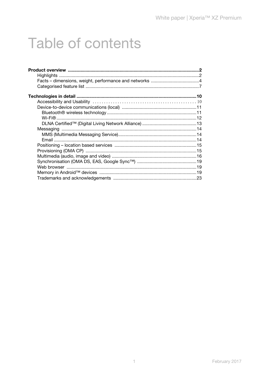## <span id="page-2-0"></span>**Table of contents**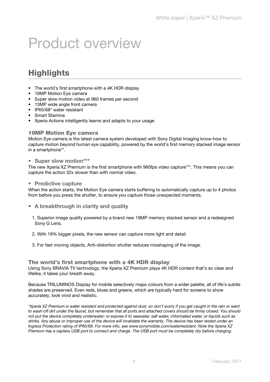## <span id="page-3-0"></span>Product overview

## <span id="page-3-1"></span>**Highlights**

- The world's first smartphone with a 4K HDR display
- 19MP Motion Eye camera
- Super slow motion video at 960 frames per second
- 13MP wide angle front camera
- IP65/68\* water resistant
- Smart Stamina
- Xperia Actions intelligently learns and adapts to your usage

#### 19MP Motion Eye camera

Motion Eye camera is the latest camera system developed with Sony Digital Imaging know-how to capture motion beyond human eye capability, powered by the world's first memory stacked image sensor in a smartphone\*\*.

#### • Super slow motion\*\*\*

The new Xperia XZ Premium is the first smartphone with 960fps video capture\*\*\*. This means you can capture the action 32x slower than with normal video.

#### • Predictive capture

When the action starts, the Motion Eve camera starts buffering to automatically capture up to 4 photos from before you press the shutter, to ensure you capture those unexpected moments.

- A breakthrough in clarity and quality
	- 1. Superior image quality powered by a brand new 19MP memory stacked sensor and a redesigned Sony G Lens.
	- 2. With 19% bigger pixels, the new sensor can capture more light and detail.
	- 3. For fast moving objects, Anti-distortion shutter reduces misshaping of the image.

#### The world's first smartphone with a 4K HDR display

Using Sony BRAVIA TV technology, the Xperia XZ Premium plays 4K HDR content that's so clear and lifelike, it takes your breath away.

Because TRILUMINOS Display for mobile selectively maps colours from a wider palette, all of life's subtle shades are preserved. Even reds, blues and greens, which are typically hard for screens to show accurately, look vivid and realistic.

\*Xperia XZ Premium is water resistant and protected against dust, so don't worry if you get caught in the rain or want to wash off dirt under the faucet, but remember that all ports and attached covers should be firmly closed. You should not put the device completely underwater; or expose it to seawater, salt water, chlorinated water, or liquids such as drinks. Any abuse or improper use of the device will invalidate the warranty. The device has been tested under an Ingress Protection rating of IP65/68. For more info, see www.sonymobile.com/waterresistant. Note the Xperia XZ Premium has a capless USB port to connect and charge. The USB port must be completely dry before charging.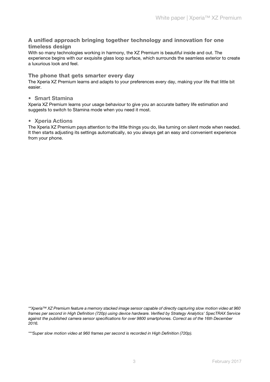#### A unified approach bringing together technology and innovation for one timeless design

With so many technologies working in harmony, the XZ Premium is beautiful inside and out. The experience begins with our exquisite glass loop surface, which surrounds the seamless exterior to create a luxurious look and feel.

#### The phone that gets smarter every day

The Xperia XZ Premium learns and adapts to your preferences every day, making your life that little bit easier.

#### • Smart Stamina

Xperia XZ Premium learns your usage behaviour to give you an accurate battery life estimation and suggests to switch to Stamina mode when you need it most.

#### • Xperia Actions

The Xperia XZ Premium pays attention to the little things you do, like turning on silent mode when needed. It then starts adjusting its settings automatically, so you always get an easy and convenient experience from your phone.

<sup>\*\*</sup>Xperia™ XZ Premium feature a memory stacked image sensor capable of directly capturing slow motion video at 960 frames per second in High Definition (720p) using device hardware. Verified by Strategy Analytics' SpecTRAX Service against the published camera sensor specifications for over 9800 smartphones. Correct as of the 16th December 2016.

<sup>\*\*\*</sup>Super slow motion video at 960 frames per second is recorded in High Definition (720p).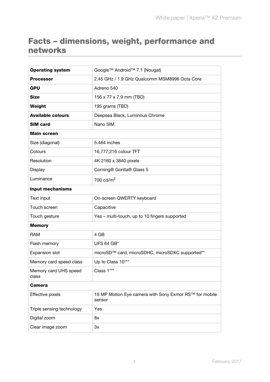## <span id="page-5-0"></span>Facts – dimensions, weight, performance and networks

| <b>Operating system</b>        | Google™ Android™ 7.1 (Nougat)                                    |  |
|--------------------------------|------------------------------------------------------------------|--|
| <b>Processor</b>               | 2.45 GHz / 1.9 GHz Qualcomm MSM8998 Octa Core                    |  |
| <b>GPU</b>                     | Adreno 540                                                       |  |
| <b>Size</b>                    | 156 x 77 x 7.9 mm (TBD)                                          |  |
| Weight                         | 195 grams (TBD)                                                  |  |
| <b>Available colours</b>       | Deepsea Black, Luminous Chrome                                   |  |
| <b>SIM card</b>                | Nano SIM                                                         |  |
| <b>Main screen</b>             |                                                                  |  |
| Size (diagonal)                | 5.464 inches                                                     |  |
| Colours                        | 16,777,216 colour TFT                                            |  |
| Resolution                     | 4K 2160 x 3840 pixels                                            |  |
| Display                        | Corning® Gorilla® Glass 5                                        |  |
| Luminance                      | 700 $\text{cd/m}^2$                                              |  |
| <b>Input mechanisms</b>        |                                                                  |  |
| Text input                     | On-screen QWERTY keyboard                                        |  |
| Touch screen                   | Capacitive                                                       |  |
| Touch gesture                  | Yes - multi-touch, up to 10 fingers supported                    |  |
| <b>Memory</b>                  |                                                                  |  |
| <b>RAM</b>                     | 4 GB                                                             |  |
| Flash memory                   | <b>UFS 64 GB*</b>                                                |  |
| <b>Expansion slot</b>          | microSD™ card, microSDHC, microSDXC supported**                  |  |
| Memory card speed class        | Up to Class 10***                                                |  |
| Memory card UHS speed<br>class | Class 1***                                                       |  |
| <b>Camera</b>                  |                                                                  |  |
| Effective pixels               | 19 MP Motion Eye camera with Sony Exmor RS™ for mobile<br>sensor |  |
| Triple sensing technology      | Yes                                                              |  |
| Digital zoom                   | 8x                                                               |  |
| Clear image zoom               | 3x                                                               |  |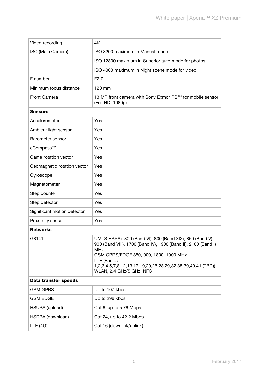| 4K                                                                                                                                                                                                                                                                                         |  |  |
|--------------------------------------------------------------------------------------------------------------------------------------------------------------------------------------------------------------------------------------------------------------------------------------------|--|--|
| ISO 3200 maximum in Manual mode                                                                                                                                                                                                                                                            |  |  |
| ISO 12800 maximum in Superior auto mode for photos                                                                                                                                                                                                                                         |  |  |
| ISO 4000 maximum in Night scene mode for video                                                                                                                                                                                                                                             |  |  |
| F2.0                                                                                                                                                                                                                                                                                       |  |  |
| 120 mm                                                                                                                                                                                                                                                                                     |  |  |
| 13 MP front camera with Sony Exmor RS™ for mobile sensor<br>(Full HD, 1080p)                                                                                                                                                                                                               |  |  |
|                                                                                                                                                                                                                                                                                            |  |  |
| Yes                                                                                                                                                                                                                                                                                        |  |  |
| Yes                                                                                                                                                                                                                                                                                        |  |  |
| Yes                                                                                                                                                                                                                                                                                        |  |  |
| Yes                                                                                                                                                                                                                                                                                        |  |  |
| Yes                                                                                                                                                                                                                                                                                        |  |  |
| Yes                                                                                                                                                                                                                                                                                        |  |  |
| Yes                                                                                                                                                                                                                                                                                        |  |  |
| Yes                                                                                                                                                                                                                                                                                        |  |  |
| Yes                                                                                                                                                                                                                                                                                        |  |  |
| Yes                                                                                                                                                                                                                                                                                        |  |  |
| Yes                                                                                                                                                                                                                                                                                        |  |  |
| Yes                                                                                                                                                                                                                                                                                        |  |  |
|                                                                                                                                                                                                                                                                                            |  |  |
| UMTS HSPA+ 800 (Band VI), 800 (Band XIX), 850 (Band V),<br>900 (Band VIII), 1700 (Band IV), 1900 (Band II), 2100 (Band I)<br><b>MHz</b><br>GSM GPRS/EDGE 850, 900, 1800, 1900 MHz<br>LTE (Bands<br>1,2,3,4,5,7,8,12,13,17,19,20,26,28,29,32,38,39,40,41 (TBD))<br>WLAN, 2.4 GHz/5 GHz, NFC |  |  |
| Data transfer speeds                                                                                                                                                                                                                                                                       |  |  |
| Up to 107 kbps                                                                                                                                                                                                                                                                             |  |  |
| Up to 296 kbps                                                                                                                                                                                                                                                                             |  |  |
| Cat 6, up to 5.76 Mbps                                                                                                                                                                                                                                                                     |  |  |
| Cat 24, up to 42.2 Mbps                                                                                                                                                                                                                                                                    |  |  |
| Cat 16 (downlink/uplink)                                                                                                                                                                                                                                                                   |  |  |
|                                                                                                                                                                                                                                                                                            |  |  |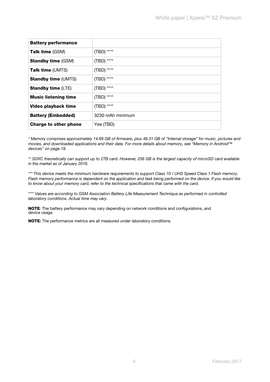| <b>Battery performance</b>   |                  |
|------------------------------|------------------|
| <b>Talk time</b> (GSM)       | (TBD) ****       |
| <b>Standby time (GSM)</b>    | (TBD) ****       |
| Talk time (UMTS)             | (TBD) ****       |
| <b>Standby time (UMTS)</b>   | (TBD) ****       |
| <b>Standby time (LTE)</b>    | (TBD) ****       |
| <b>Music listening time</b>  | (TBD) ****       |
| Video playback time          | (TBD) ****       |
| <b>Battery (Embedded)</b>    | 3230 mAh minimum |
| <b>Charge to other phone</b> | Yes (TBD)        |
|                              |                  |

\* Memory comprises approximately 14.69 GB of firmware, plus 49.31 GB of "Internal storage" for music, pictures and movies, and downloaded applications and their data. For more details about memory, see ["Memory in Android™](#page-20-2)  [devices" on page 19](#page-20-2).

\*\* SDXC theoretically can support up to 2TB card. However, 256 GB is the largest capacity of microSD card available in the market as of January 2016.

\*\*\* This device meets the minimum hardware requirements to support Class 10 / UHS Speed Class 1 Flash memory. Flash memory performance is dependent on the application and task being performed on the device. If you would like to know about your memory card, refer to the technical specifications that came with the card.

\*\*\*\* Values are according to GSM Association Battery Life Measurement Technique as performed in controlled laboratory conditions. Actual time may vary.

NOTE: The battery performance may vary depending on network conditions and configurations, and device usage.

NOTE: The performance metrics are all measured under laboratory conditions.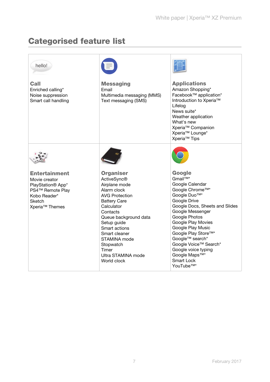## <span id="page-8-0"></span>Categorised feature list

| hello!                                                                                                                                                    |                                                                                                                                                                                                                                                                                                       |                                                                                                                                                                                                                                                                                                                                                                                                         |
|-----------------------------------------------------------------------------------------------------------------------------------------------------------|-------------------------------------------------------------------------------------------------------------------------------------------------------------------------------------------------------------------------------------------------------------------------------------------------------|---------------------------------------------------------------------------------------------------------------------------------------------------------------------------------------------------------------------------------------------------------------------------------------------------------------------------------------------------------------------------------------------------------|
| <b>Call</b><br>Enriched calling*<br>Noise suppression<br>Smart call handling                                                                              | <b>Messaging</b><br>Email<br>Multimedia messaging (MMS)<br>Text messaging (SMS)                                                                                                                                                                                                                       | <b>Applications</b><br>Amazon Shopping*<br>Facebook™ application*<br>Introduction to Xperia™<br>Lifelog<br>News suite*<br>Weather application<br>What's new<br>Xperia <sup>™</sup> Companion<br>Xperia <sup>™</sup> Lounge*<br>Xperia <sup>™</sup> Tips                                                                                                                                                 |
|                                                                                                                                                           |                                                                                                                                                                                                                                                                                                       |                                                                                                                                                                                                                                                                                                                                                                                                         |
| <b>Entertainment</b><br>Movie creator<br>PlayStation <sup>®</sup> App*<br>PS4™ Remote Play<br>Kobo Reader*<br><b>Sketch</b><br>Xperia <sup>™</sup> Themes | <b>Organiser</b><br><b>ActiveSync®</b><br>Airplane mode<br>Alarm clock<br><b>AVG Protection</b><br><b>Battery Care</b><br>Calculator<br>Contacts<br>Queue background data<br>Setup guide<br>Smart actions<br>Smart cleaner<br>STAMINA mode<br>Stopwatch<br>Timer<br>Ultra STAMINA mode<br>World clock | Google<br>Gmail <sup>TM*</sup><br>Google Calendar<br>Google Chrome™*<br>Google Duo <sup>™*</sup><br>Google Drive<br>Google Docs, Sheets and Slides<br>Google Messenger<br>Google Photos<br>Google Play Movies<br>Google Play Music<br>Google Play Store™*<br>Google™ search*<br>Google Voice™ Search*<br>Google voice typing<br>Google Maps <sup>™*</sup><br><b>Smart Lock</b><br>YouTube <sup>™*</sup> |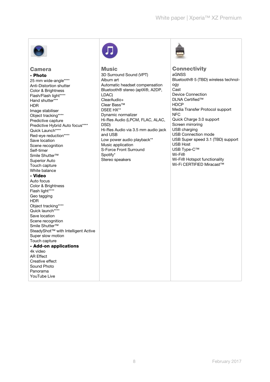

#### Camera - Photo

25 mm wide-angle\*\*\*\* Anti-Distortion shutter Color & Brightness Flash/Flash light\*\*\*\* Hand shutter\*\*\* HDR Image stabiliser Object tracking\*\*\*\* Predictive capture Predictive Hybrid Auto focus\*\*\*\* Quick Launch\*\*\*\* Red-eye reduction\*\*\*\* Save location Scene recognition Self-timer Smile Shutter™ Superior Auto Touch capture White balance - Video Auto focus Color & Brightness Flash light\*\*\*\* Geo tagging HDR Object tracking\*\*\*\* Quick launch\*\*\*\* Save location Scene recognition Smile Shutter™ SteadyShot™ with Intelligent Active Super slow motion Touch capture - Add-on applications 4k video AR Effect Creative effect Sound Photo Panorama YouTube Live



**Music** 3D Surround Sound (VPT) Album art Automatic headset compensation Bluetooth® stereo (aptX®, A2DP, LDAC) ClearAudio+ Clear Bass™ DSEE HX\*\* Dynamic normalizer Hi-Res Audio (LPCM, FLAC, ALAC, DSD) Hi-Res Audio via 3.5 mm audio jack and USB Low power audio playback\*\* Music application S-Force Front Surround Spotify\* Stereo speakers



**Connectivity** aGNSS Bluetooth® 5 (TBD) wireless technology Cast Device Connection DLNA Certified™ **HDCP** Media Transfer Protocol support NFC Quick Charge 3.0 support Screen mirroring USB charging USB Connection mode USB Super speed 3.1 (TBD) support USB Host USB Type-C™ Wi-Fi® Wi-Fi® Hotspot functionality Wi-Fi CERTIFIED Miracast™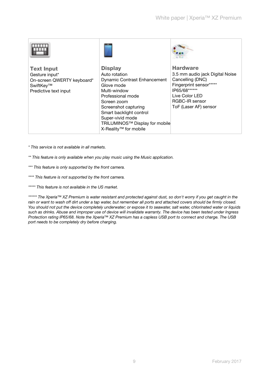| <b>Text Input</b>          | <b>Display</b>                      | <b>Hardware</b>                 |
|----------------------------|-------------------------------------|---------------------------------|
| Gesture input*             | Auto rotation                       | 3.5 mm audio jack Digital Noise |
| On-screen QWERTY keyboard* | <b>Dynamic Contrast Enhancement</b> | Cancelling (DNC)                |
| SwiftKey™                  | Glove mode                          | Fingerprint sensor*****         |
| Predictive text input      | Multi-window                        | IP65/68******                   |
|                            | Professional mode                   | Live Color LED                  |
|                            | Screen zoom                         | RGBC-IR sensor                  |
|                            | Screenshot capturing                | ToF (Laser AF) sensor           |
|                            | Smart backlight control             |                                 |
|                            | Super-vivid mode                    |                                 |
|                            | TRILUMINOS™ Display for mobile      |                                 |
|                            | X-Reality <sup>™</sup> for mobile   |                                 |

\* This service is not available in all markets.

- \*\* This feature is only available when you play music using the Music application.
- \*\*\* This feature is only supported by the front camera.
- \*\*\*\* This feature is not supported by the front camera.

\*\*\*\*\* This feature is not available in the US market.

\*\*\*\*\*\* The Xperia™ XZ Premium is water resistant and protected against dust, so don't worry if you get caught in the rain or want to wash off dirt under a tap water, but remember all ports and attached covers should be firmly closed. You should not put the device completely underwater; or expose it to seawater, salt water, chlorinated water or liquids such as drinks. Abuse and improper use of device will invalidate warranty. The device has been tested under Ingress Protection rating IP65/68. Note the Xperia™ XZ Premium has a capless USB port to connect and charge. The USB port needs to be completely dry before charging.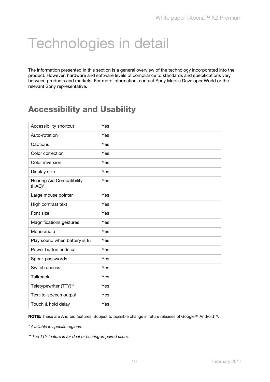## <span id="page-11-0"></span>Technologies in detail

The information presented in this section is a general overview of the technology incorporated into the product. However, hardware and software levels of compliance to standards and specifications vary between products and markets. For more information, contact Sony Mobile Developer World or the relevant Sony representative.

## <span id="page-11-1"></span>Accessibility and Usability

| Accessibility shortcut                     | Yes |
|--------------------------------------------|-----|
| Auto-rotation                              | Yes |
| Captions                                   | Yes |
| Color correction                           | Yes |
| Color inversion                            | Yes |
| Display size                               | Yes |
| <b>Hearing Aid Compatibility</b><br>(HAC)* | Yes |
| Large mouse pointer                        | Yes |
| High contrast text                         | Yes |
| Font size                                  | Yes |
| Magnifications gestures                    | Yes |
| Mono audio                                 | Yes |
| Play sound when battery is full            | Yes |
| Power button ends call                     | Yes |
| Speak passwords                            | Yes |
| Switch access                              | Yes |
| <b>Talkback</b>                            | Yes |
| Teletypewriter (TTY)**                     | Yes |
| Text-to-speech output                      | Yes |
| Touch & hold delay                         | Yes |

NOTE: These are Android features. Subject to possible change in future releases of Google™ Android™.

\* Available in specific regions.

\*\* The TTY feature is for deaf or hearing-impaired users.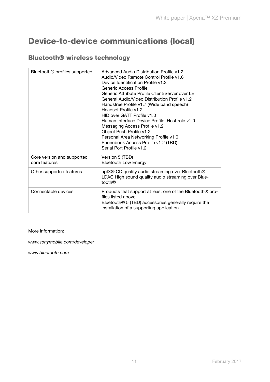## <span id="page-12-0"></span>Device-to-device communications (local)

#### <span id="page-12-1"></span>Bluetooth® wireless technology

| Bluetooth <sup>®</sup> profiles supported   | Advanced Audio Distribution Profile v1.2<br>Audio/Video Remote Control Profile v1.6<br>Device Identification Profile v1.3<br>Generic Access Profile<br>Generic Attribute Profile Client/Server over LE<br>General Audio/Video Distribution Profile v1.2<br>Handsfree Profile v1.7 (Wide band speech)<br>Headset Profile v1.2<br>HID over GATT Profile v1.0<br>Human Interface Device Profile, Host role v1.0<br>Messaging Access Profile v1.2<br>Object Push Profile v1.2<br>Personal Area Networking Profile v1.0<br>Phonebook Access Profile v1.2 (TBD)<br>Serial Port Profile v1.2 |
|---------------------------------------------|---------------------------------------------------------------------------------------------------------------------------------------------------------------------------------------------------------------------------------------------------------------------------------------------------------------------------------------------------------------------------------------------------------------------------------------------------------------------------------------------------------------------------------------------------------------------------------------|
| Core version and supported<br>core features | Version 5 (TBD)<br><b>Bluetooth Low Energy</b>                                                                                                                                                                                                                                                                                                                                                                                                                                                                                                                                        |
| Other supported features                    | aptX® CD quality audio streaming over Bluetooth®<br>LDAC High sound quality audio streaming over Blue-<br>tooth®                                                                                                                                                                                                                                                                                                                                                                                                                                                                      |
| Connectable devices                         | Products that support at least one of the Bluetooth® pro-<br>files listed above.<br>Bluetooth <sup>®</sup> 5 (TBD) accessories generally require the<br>installation of a supporting application.                                                                                                                                                                                                                                                                                                                                                                                     |

#### More information:

www.sonymobile.com/developer

www.bluetooth.com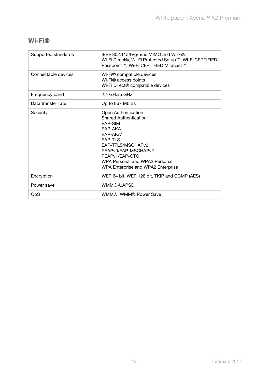#### <span id="page-13-0"></span>Wi-Fi®

| Supported standards | IEEE 802.11a/b/g/n/ac MIMO and Wi-Fi®<br>Wi-Fi Direct®, Wi-Fi Protected Setup™, Wi-Fi CERTIFIED<br>Passpoint™, Wi-Fi CERTIFIED Miracast™                                                                                                                   |
|---------------------|------------------------------------------------------------------------------------------------------------------------------------------------------------------------------------------------------------------------------------------------------------|
| Connectable devices | Wi-Fi® compatible devices<br>Wi-Fi® access points<br>Wi-Fi Direct® compatible devices                                                                                                                                                                      |
| Frequency band      | $2.4$ GHz/5 GHz                                                                                                                                                                                                                                            |
| Data transfer rate  | Up to 867 Mbit/s                                                                                                                                                                                                                                           |
| Security            | Open Authentication<br><b>Shared Authentication</b><br>EAP-SIM<br>EAP-AKA<br>EAP-AKA'<br><b>EAP-TLS</b><br>EAP-TTLS/MSCHAPv2<br>PEAPv0/EAP-MSCHAPv2<br>PEAP <sub>v1</sub> /EAP-GTC<br>WPA Personal and WPA2 Personal<br>WPA Enterprise and WPA2 Enterprise |
| Encryption          | WEP 64 bit, WEP 128 bit, TKIP and CCMP (AES)                                                                                                                                                                                                               |
| Power save          | WMM®-UAPSD                                                                                                                                                                                                                                                 |
| QoS                 | WMM®, WMM® Power Save                                                                                                                                                                                                                                      |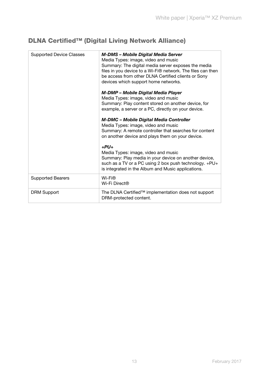### <span id="page-14-0"></span>DLNA Certified™ (Digital Living Network Alliance)

| <b>Supported Device Classes</b> | M-DMS - Mobile Digital Media Server<br>Media Types: image, video and music<br>Summary: The digital media server exposes the media<br>files in you device to a Wi-Fi® network. The files can then<br>be access from other DLNA Certified clients or Sony<br>devices which support home networks. |
|---------------------------------|-------------------------------------------------------------------------------------------------------------------------------------------------------------------------------------------------------------------------------------------------------------------------------------------------|
|                                 | M-DMP - Mobile Digital Media Player<br>Media Types: image, video and music<br>Summary: Play content stored on another device, for<br>example, a server or a PC, directly on your device.                                                                                                        |
|                                 | <b>M-DMC - Mobile Digital Media Controller</b><br>Media Types: image, video and music<br>Summary: A remote controller that searches for content<br>on another device and plays them on your device.                                                                                             |
|                                 | $+PU+$<br>Media Types: image, video and music<br>Summary: Play media in your device on another device,<br>such as a TV or a PC using 2 box push technology. +PU+<br>is integrated in the Album and Music applications.                                                                          |
| <b>Supported Bearers</b>        | Wi-Fi®<br>Wi-Fi Direct®                                                                                                                                                                                                                                                                         |
| <b>DRM Support</b>              | The DLNA Certified™ implementation does not support<br>DRM-protected content.                                                                                                                                                                                                                   |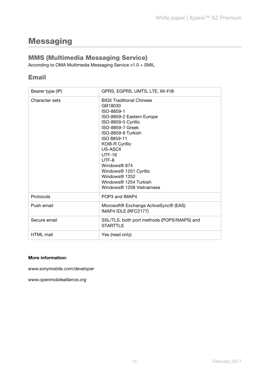## <span id="page-15-0"></span>**Messaging**

#### <span id="page-15-1"></span>MMS (Multimedia Messaging Service)

According to OMA Multimedia Messaging Service v1.0 + SMIL

#### <span id="page-15-2"></span>Email

| Bearer type (IP) | GPRS, EGPRS, UMTS, LTE, Wi-Fi®                                                                                                                                                                                                                                                                                                                                                |  |
|------------------|-------------------------------------------------------------------------------------------------------------------------------------------------------------------------------------------------------------------------------------------------------------------------------------------------------------------------------------------------------------------------------|--|
| Character sets   | <b>BIG5 Traditional Chinese</b><br>GB18030<br>ISO-8859-1<br>ISO-8859-2 Eastern Europe<br>ISO-8859-5 Cyrillic<br>ISO-8859-7 Greek<br>ISO-8859-9 Turkish<br>ISO 8859-11<br>KOI8-R Cyrillic<br>US-ASCII<br>$UTF-16$<br>UTF-8<br>Windows <sup>®</sup> 874<br>Windows <sup>®</sup> 1251 Cyrillic<br>Windows <sup>®</sup> 1252<br>Windows® 1254 Turkish<br>Windows® 1258 Vietnamese |  |
| Protocols        | POP3 and IMAP4                                                                                                                                                                                                                                                                                                                                                                |  |
| Push email       | Microsoft® Exchange ActiveSync® (EAS)<br>IMAP4 IDLE (RFC2177)                                                                                                                                                                                                                                                                                                                 |  |
| Secure email     | SSL/TLS, both port methods (POPS/IMAPS) and<br><b>STARTTLS</b>                                                                                                                                                                                                                                                                                                                |  |
| <b>HTML</b> mail | Yes (read only)                                                                                                                                                                                                                                                                                                                                                               |  |

#### More information:

www.sonymobile.com/developer

www.openmobilealliance.org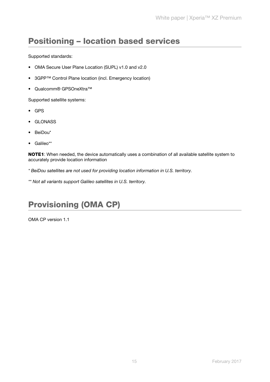### <span id="page-16-0"></span>Positioning – location based services

Supported standards:

- OMA Secure User Plane Location (SUPL) v1.0 and v2.0
- 3GPP™ Control Plane location (incl. Emergency location)
- Qualcomm® GPSOneXtra™

Supported satellite systems:

- GPS
- GLONASS
- BeiDou\*
- Galileo\*\*

NOTE1: When needed, the device automatically uses a combination of all available satellite system to accurately provide location information

- \* BeiDou satellites are not used for providing location information in U.S. territory.
- \*\* Not all variants support Galileo satellites in U.S. territory.

## <span id="page-16-1"></span>Provisioning (OMA CP)

OMA CP version 1.1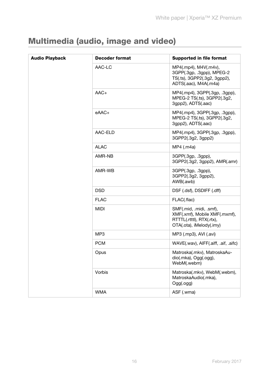## <span id="page-17-0"></span>Multimedia (audio, image and video)

| <b>Audio Playback</b> | <b>Decoder format</b> | <b>Supported in file format</b>                                                                                   |
|-----------------------|-----------------------|-------------------------------------------------------------------------------------------------------------------|
|                       | AAC-LC                | MP4(.mp4), M4V(.m4v),<br>3GPP(.3gp, .3gpp), MPEG-2<br>TS(.ts), 3GPP2(.3g2, 3gpp2),<br>ADTS(.aac), M4A(.m4a)       |
|                       | $AAC+$                | MP4(.mp4), 3GPP(.3gp, .3gpp),<br>MPEG-2 TS(.ts), 3GPP2(.3g2,<br>3gpp2), ADTS(.aac)                                |
|                       | eAAC+                 | MP4(.mp4), 3GPP(.3gp, .3gpp),<br>MPEG-2 TS(.ts), 3GPP2(.3g2,<br>3gpp2), ADTS(.aac)                                |
|                       | AAC-ELD               | MP4(.mp4), 3GPP(.3gp, .3gpp),<br>3GPP2(.3g2, 3gpp2)                                                               |
|                       | <b>ALAC</b>           | MP4 (.m4a)                                                                                                        |
|                       | AMR-NB                | 3GPP(.3gp, .3gpp),<br>3GPP2(.3g2, 3gpp2), AMR(.amr)                                                               |
|                       | AMR-WB                | 3GPP(.3gp, .3gpp),<br>3GPP2(.3g2, 3gpp2),<br>AWB(.awb)                                                            |
|                       | <b>DSD</b>            | DSF (.dsf), DSDIFF (.dff)                                                                                         |
|                       | <b>FLAC</b>           | FLAC(.flac)                                                                                                       |
|                       | <b>MIDI</b>           | SMF(.mid, .midi, .smf),<br>XMF(.xmf), Mobile XMF(.mxmf),<br>RTTTL(.rtttl), RTX(.rtx),<br>OTA(.ota), iMelody(.imy) |
|                       | MP <sub>3</sub>       | MP3 (.mp3), AVI (.avi)                                                                                            |
|                       | <b>PCM</b>            | WAVE(.wav), AIFF(.aiff, .aif, .aifc)                                                                              |
|                       | Opus                  | Matroska(.mkv), MatroskaAu-<br>dio(.mka), Ogg(.ogg),<br>WebM(.webm)                                               |
|                       | Vorbis                | Matroska(.mkv), WebM(.webm),<br>MatroskaAudio(.mka),<br>Ogg(.ogg)                                                 |
|                       | <b>WMA</b>            | ASF (.wma)                                                                                                        |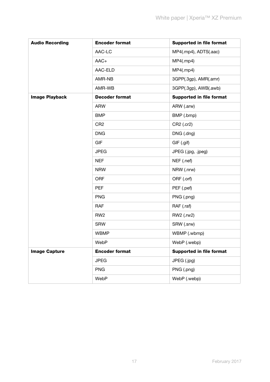| <b>Audio Recording</b> | <b>Encoder format</b> | <b>Supported in file format</b> |
|------------------------|-----------------------|---------------------------------|
|                        | AAC-LC                | MP4(.mp4), ADTS(.aac)           |
|                        | $AAC+$                | MP4(mp4)                        |
|                        | AAC-ELD               | MP4(mp4)                        |
|                        | AMR-NB                | 3GPP(.3gp), AMR(.amr)           |
|                        | AMR-WB                | 3GPP(.3gp), AWB(.awb)           |
| <b>Image Playback</b>  | <b>Decoder format</b> | <b>Supported in file format</b> |
|                        | <b>ARW</b>            | ARW (.arw)                      |
|                        | <b>BMP</b>            | BMP (.bmp)                      |
|                        | CR <sub>2</sub>       | CR2 (.cr2)                      |
|                        | <b>DNG</b>            | DNG (.dng)                      |
|                        | <b>GIF</b>            | GIF (.gif)                      |
|                        | <b>JPEG</b>           | JPEG (.jpg, .jpeg)              |
|                        | <b>NEF</b>            | NEF (.nef)                      |
|                        | <b>NRW</b>            | NRW (.nrw)                      |
|                        | <b>ORF</b>            | ORF (.orf)                      |
|                        | <b>PEF</b>            | PEF (.pef)                      |
|                        | <b>PNG</b>            | PNG (.png)                      |
|                        | <b>RAF</b>            | RAF (.raf)                      |
|                        | RW <sub>2</sub>       | RW2 (.rw2)                      |
|                        | <b>SRW</b>            | SRW (.srw)                      |
|                        | <b>WBMP</b>           | WBMP (.wbmp)                    |
|                        | WebP                  | WebP (.webp)                    |
| <b>Image Capture</b>   | <b>Encoder format</b> | <b>Supported in file format</b> |
|                        | <b>JPEG</b>           | JPEG (.jpg)                     |
|                        | <b>PNG</b>            | PNG (.png)                      |
|                        | WebP                  | WebP (.webp)                    |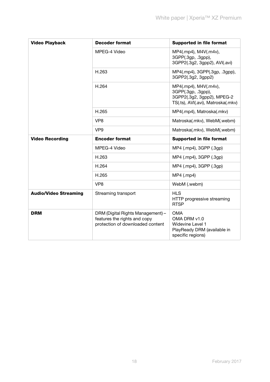| <b>Video Playback</b>        | <b>Decoder format</b>                                                                                 | <b>Supported in file format</b>                                                                                 |
|------------------------------|-------------------------------------------------------------------------------------------------------|-----------------------------------------------------------------------------------------------------------------|
|                              | MPEG-4 Video                                                                                          | MP4(.mp4), M4V(.m4v),<br>3GPP(.3gp, .3gpp),<br>3GPP2(.3g2, 3gpp2), AVI(.avi)                                    |
|                              | H.263                                                                                                 | MP4(.mp4), 3GPP(.3gp, .3gpp),<br>3GPP2(.3g2, 3gpp2)                                                             |
|                              | H.264                                                                                                 | MP4(.mp4), M4V(.m4v),<br>3GPP(.3gp, .3gpp),<br>3GPP2(.3g2, 3gpp2), MPEG-2<br>TS(.ts), AVI(.avi), Matroska(.mkv) |
|                              | H.265                                                                                                 | MP4(.mp4), Matroska(.mkv)                                                                                       |
|                              | VP <sub>8</sub>                                                                                       | Matroska(.mkv), WebM(.webm)                                                                                     |
|                              | VP <sub>9</sub>                                                                                       | Matroska(.mkv), WebM(.webm)                                                                                     |
| <b>Video Recording</b>       | <b>Encoder format</b>                                                                                 | <b>Supported in file format</b>                                                                                 |
|                              | MPEG-4 Video                                                                                          | MP4 (.mp4), 3GPP (.3gp)                                                                                         |
|                              | H.263                                                                                                 | MP4 (.mp4), 3GPP (.3gp)                                                                                         |
|                              | H.264                                                                                                 | MP4 (.mp4), 3GPP (.3gp)                                                                                         |
|                              | H.265                                                                                                 | $MP4$ (.mp4)                                                                                                    |
|                              | VP <sub>8</sub>                                                                                       | WebM (.webm)                                                                                                    |
| <b>Audio/Video Streaming</b> | Streaming transport                                                                                   | <b>HLS</b><br>HTTP progressive streaming<br><b>RTSP</b>                                                         |
| <b>DRM</b>                   | DRM (Digital Rights Management) -<br>features the rights and copy<br>protection of downloaded content | <b>OMA</b><br>OMA DRM v1.0<br>Widevine Level 1<br>PlayReady DRM (available in<br>specific regions)              |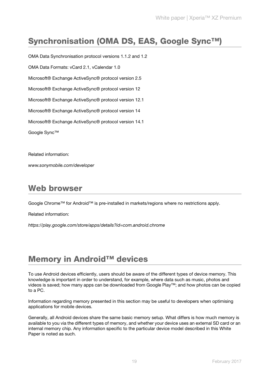## <span id="page-20-0"></span>Synchronisation (OMA DS, EAS, Google Sync™)

OMA Data Synchronisation protocol versions 1.1.2 and 1.2 OMA Data Formats: vCard 2.1, vCalendar 1.0 Microsoft® Exchange ActiveSync® protocol version 2.5 Microsoft® Exchange ActiveSync® protocol version 12 Microsoft® Exchange ActiveSync® protocol version 12.1 Microsoft® Exchange ActiveSync® protocol version 14 Microsoft® Exchange ActiveSync® protocol version 14.1 Google Sync™

Related information:

www.sonymobile.com/developer

### <span id="page-20-1"></span>Web browser

Google Chrome™ for Android™ is pre-installed in markets/regions where no restrictions apply.

Related information:

https://play.google.com/store/apps/details?id=com.android.chrome

## <span id="page-20-2"></span>Memory in Android™ devices

To use Android devices efficiently, users should be aware of the different types of device memory. This knowledge is important in order to understand, for example, where data such as music, photos and videos is saved; how many apps can be downloaded from Google Play™; and how photos can be copied to a PC.

Information regarding memory presented in this section may be useful to developers when optimising applications for mobile devices.

Generally, all Android devices share the same basic memory setup. What differs is how much memory is available to you via the different types of memory, and whether your device uses an external SD card or an internal memory chip. Any information specific to the particular device model described in this White Paper is noted as such.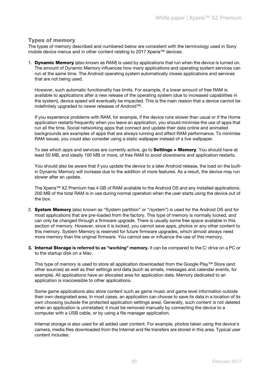#### Types of memory

The types of memory described and numbered below are consistent with the terminology used in Sony mobile device menus and in other content relating to 2017 Xperia™ devices:

1. **Dynamic Memory** (also known as RAM) is used by applications that run when the device is turned on. The amount of Dynamic Memory influences how many applications and operating system services can run at the same time. The Android operating system automatically closes applications and services that are not being used.

However, such automatic functionality has limits. For example, if a lower amount of free RAM is available to applications after a new release of the operating system (due to increased capabilities in the system), device speed will eventually be impacted. This is the main reason that a device cannot be indefinitely upgraded to newer releases of Android™.

If you experience problems with RAM, for example, if the device runs slower than usual or if the Home application restarts frequently when you leave an application, you should minimise the use of apps that run all the time. Social networking apps that connect and update their data online and animated backgrounds are examples of apps that are always running and affect RAM performance. To minimise RAM issues, you could also consider using a static wallpaper instead of a live wallpaper.

To see which apps and services are currently active, go to **Settings > Memory**. You should have at least 50 MB, and ideally 100 MB or more, of free RAM to avoid slowdowns and application restarts.

You should also be aware that if you update the device to a later Android release, the load on the builtin Dynamic Memory will increase due to the addition of more features. As a result, the device may run slower after an update.

The Xperia™ XZ Premium has 4 GB of RAM available to the Android OS and any installed applications. 200 MB of the total RAM is in use during normal operation when the user starts using the device out of the box.

- 2. System Memory (also known as "System partition" or "/system") is used for the Android OS and for most applications that are pre-loaded from the factory. This type of memory is normally locked, and can only be changed through a firmware upgrade. There is usually some free space available in this section of memory. However, since it is locked, you cannot save apps, photos or any other content to this memory. System Memory is reserved for future firmware upgrades, which almost always need more memory than the original firmware. You cannot see or influence the use of this memory.
- 3. Internal Storage is referred to as "working" memory. It can be compared to the C: drive on a PC or to the startup disk on a Mac.

This type of memory is used to store all application downloaded from the Google Play™ Store (and other sources) as well as their settings and data (such as emails, messages and calendar events, for example). All applications have an allocated area for application data. Memory dedicated to an application is inaccessible to other applications.

Some game applications also store content such as game music and game level information outside their own designated area. In most cases, an application can choose to save its data in a location of its own choosing (outside the protected application settings area). Generally, such content is not deleted when an application is uninstalled; it must be removed manually by connecting the device to a computer with a USB cable, or by using a file manager application.

Internal storage is also used for all added user content. For example, photos taken using the device's camera, media files downloaded from the Internet and file transfers are stored in this area. Typical user content includes: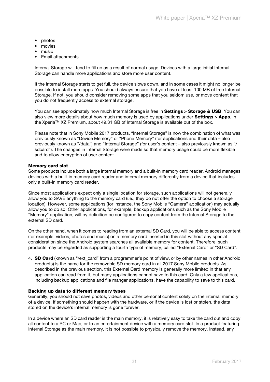- photos
- movies
- music
- Email attachments

Internal Storage will tend to fill up as a result of normal usage. Devices with a large initial Internal Storage can handle more applications and store more user content.

If the Internal Storage starts to get full, the device slows down, and in some cases it might no longer be possible to install more apps. You should always ensure that you have at least 100 MB of free Internal Storage. If not, you should consider removing some apps that you seldom use, or move content that you do not frequently access to external storage.

You can see approximately how much Internal Storage is free in Settings > Storage & USB. You can also view more details about how much memory is used by applications under Settings > Apps. In the Xperia™ XZ Premium, about 49.31 GB of Internal Storage is available out of the box.

Please note that in Sony Mobile 2017 products, "Internal Storage" is now the combination of what was previously known as "Device Memory" or "Phone Memory" (for applications and their data – also previously known as "/data") and "Internal Storage" (for user's content – also previously known as "/ sdcard"). The changes in Internal Storage were made so that memory usage could be more flexible and to allow encryption of user content.

#### Memory card slot

Some products include both a large internal memory and a built-in memory card reader. Android manages devices with a built-in memory card reader and internal memory differently from a device that includes only a built-in memory card reader.

Since most applications expect only a single location for storage, such applications will not generally allow you to SAVE anything to the memory card (i.e., they do not offer the option to choose a storage location). However, some applications (for instance, the Sony Mobile "Camera" application) may actually allow you to do so. Other applications, for example, backup applications such as the Sony Mobile "Memory" application, will by definition be configured to copy content from the Internal Storage to the external SD card.

On the other hand, when it comes to reading from an external SD Card, you will be able to access content (for example, videos, photos and music) on a memory card inserted in this slot without any special consideration since the Android system searches all available memory for content. Therefore, such products may be regarded as supporting a fourth type of memory, called "External Card" or "SD Card".

4. **SD Card** (known as "/ext card" from a programmer's point of view, or by other names in other Android products) is the name for the removable SD memory card in all 2017 Sony Mobile products. As described in the previous section, this External Card memory is generally more limited in that any application can read from it, but many applications cannot save to this card. Only a few applications, including backup applications and file manger applications, have the capability to save to this card.

#### Backing up data to different memory types

Generally, you should not save photos, videos and other personal content solely on the internal memory of a device. If something should happen with the hardware, or if the device is lost or stolen, the data stored on the device's internal memory is gone forever.

In a device where an SD card reader is the main memory, it is relatively easy to take the card out and copy all content to a PC or Mac, or to an entertainment device with a memory card slot. In a product featuring Internal Storage as the main memory, it is not possible to physically remove the memory. Instead, any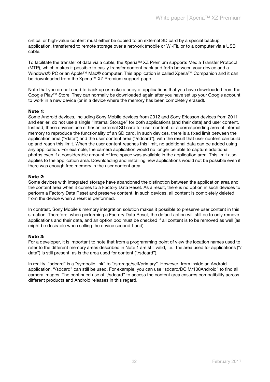critical or high-value content must either be copied to an external SD card by a special backup application, transferred to remote storage over a network (mobile or Wi-Fi), or to a computer via a USB cable.

To facilitate the transfer of data via a cable, the Xperia™ XZ Premium supports Media Transfer Protocol (MTP), which makes it possible to easily transfer content back and forth between your device and a Windows® PC or an Apple™ Mac® computer. This application is called Xperia™ Companion and it can be downloaded from the Xperia™ XZ Premium support page.

Note that you do not need to back up or make a copy of applications that you have downloaded from the Google Play™ Store. They can normally be downloaded again after you have set up your Google account to work in a new device (or in a device where the memory has been completely erased).

#### Note 1:

Some Android devices, including Sony Mobile devices from 2012 and Sony Ericsson devices from 2011 and earlier, do not use a single "Internal Storage" for both applications (and their data) and user content. Instead, these devices use either an external SD card for user content, or a corresponding area of internal memory to reproduce the functionality of an SD card. In such devices, there is a fixed limit between the application area ("/data") and the user content area ("/sdcard"), with the result that user content can build up and reach this limit. When the user content reaches this limit, no additional data can be added using any application. For example, the camera application would no longer be able to capture additional photos even if a considerable amount of free space was available in the application area. This limit also applies to the application area. Downloading and installing new applications would not be possible even if there was enough free memory in the user content area.

#### Note 2:

Some devices with integrated storage have abandoned the distinction between the application area and the content area when it comes to a Factory Data Reset. As a result, there is no option in such devices to perform a Factory Data Reset and preserve content. In such devices, all content is completely deleted from the device when a reset is performed.

In contrast, Sony Mobile's memory integration solution makes it possible to preserve user content in this situation. Therefore, when performing a Factory Data Reset, the default action will still be to only remove applications and their data, and an option box must be checked if all content is to be removed as well (as might be desirable when selling the device second-hand).

#### Note 3:

For a developer, it is important to note that from a programming point of view the location names used to refer to the different memory areas described in Note 1 are still valid, i.e., the area used for applications ("/ data") is still present, as is the area used for content ("/sdcard").

In reality, "sdcard" is a "symbolic link" to "/storage/self/primary". However, from inside an Android application, "/sdcard" can still be used. For example, you can use "sdcard/DCIM/100Android" to find all camera images. The continued use of "/sdcard" to access the content area ensures compatibility across different products and Android releases in this regard.